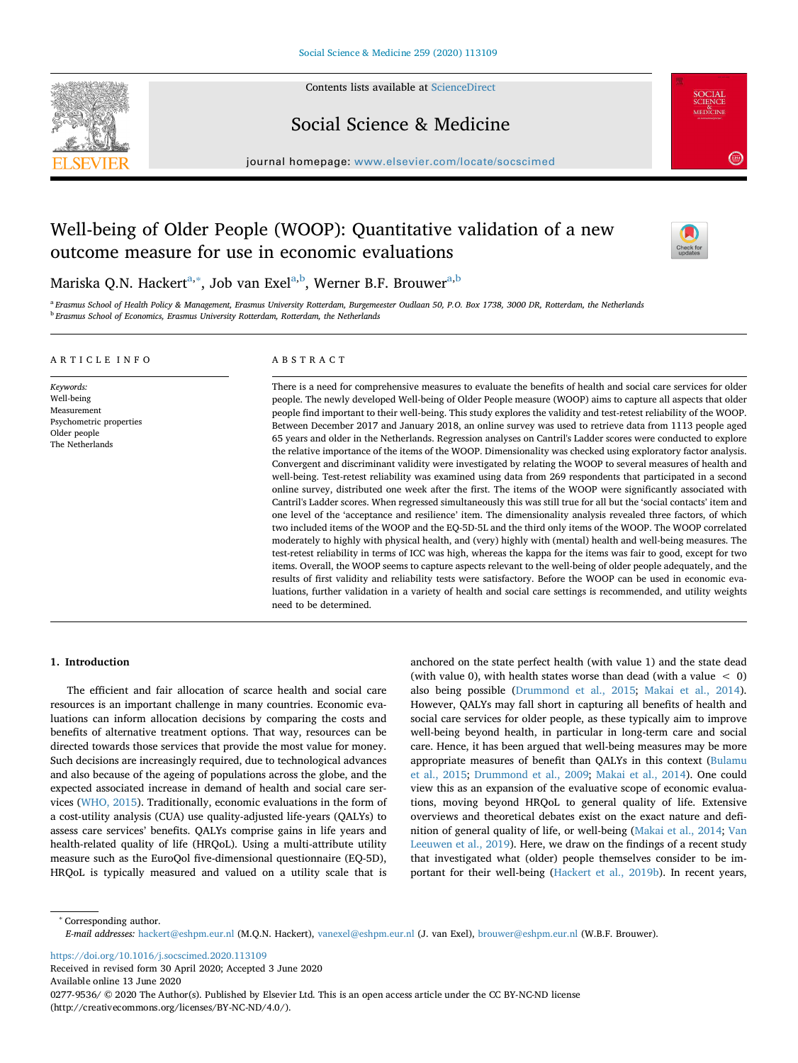

Contents lists available at [ScienceDirect](http://www.sciencedirect.com/science/journal/02779536)

Social Science & Medicine

journal homepage: [www.elsevier.com/locate/socscimed](https://www.elsevier.com/locate/socscimed)

# Well-being of Older People (WOOP): Quantitative validation of a new outcome measure for use in economic evaluations



Mariska Q.N. Hackert<sup>[a,](#page-0-0)[∗](#page-0-1)</sup>, Job van Exel<sup>a[,b](#page-0-2)</sup>, Werner B.F. Brouwer<sup>a,[b](#page-0-2)</sup>

<span id="page-0-2"></span><span id="page-0-0"></span><sup>a</sup> *Erasmus School of Health Policy & Management, Erasmus University Rotterdam, Burgemeester Oudlaan 50, P.O. Box 1738, 3000 DR, Rotterdam, the Netherlands* <sup>b</sup> *Erasmus School of Economics, Erasmus University Rotterdam, Rotterdam, the Netherlands*

# ARTICLE INFO

*Keywords:* Well-being Measurement Psychometric properties Older people The Netherlands

# ABSTRACT

There is a need for comprehensive measures to evaluate the benefits of health and social care services for older people. The newly developed Well-being of Older People measure (WOOP) aims to capture all aspects that older people find important to their well-being. This study explores the validity and test-retest reliability of the WOOP. Between December 2017 and January 2018, an online survey was used to retrieve data from 1113 people aged 65 years and older in the Netherlands. Regression analyses on Cantril's Ladder scores were conducted to explore the relative importance of the items of the WOOP. Dimensionality was checked using exploratory factor analysis. Convergent and discriminant validity were investigated by relating the WOOP to several measures of health and well-being. Test-retest reliability was examined using data from 269 respondents that participated in a second online survey, distributed one week after the first. The items of the WOOP were significantly associated with Cantril's Ladder scores. When regressed simultaneously this was still true for all but the 'social contacts' item and one level of the 'acceptance and resilience' item. The dimensionality analysis revealed three factors, of which two included items of the WOOP and the EQ-5D-5L and the third only items of the WOOP. The WOOP correlated moderately to highly with physical health, and (very) highly with (mental) health and well-being measures. The test-retest reliability in terms of ICC was high, whereas the kappa for the items was fair to good, except for two items. Overall, the WOOP seems to capture aspects relevant to the well-being of older people adequately, and the results of first validity and reliability tests were satisfactory. Before the WOOP can be used in economic evaluations, further validation in a variety of health and social care settings is recommended, and utility weights need to be determined.

# **1. Introduction**

The efficient and fair allocation of scarce health and social care resources is an important challenge in many countries. Economic evaluations can inform allocation decisions by comparing the costs and benefits of alternative treatment options. That way, resources can be directed towards those services that provide the most value for money. Such decisions are increasingly required, due to technological advances and also because of the ageing of populations across the globe, and the expected associated increase in demand of health and social care services [\(WHO, 2015](#page-8-0)). Traditionally, economic evaluations in the form of a cost-utility analysis (CUA) use quality-adjusted life-years (QALYs) to assess care services' benefits. QALYs comprise gains in life years and health-related quality of life (HRQoL). Using a multi-attribute utility measure such as the EuroQol five-dimensional questionnaire (EQ-5D), HRQoL is typically measured and valued on a utility scale that is anchored on the state perfect health (with value 1) and the state dead (with value 0), with health states worse than dead (with a value < 0) also being possible [\(Drummond et al., 2015;](#page-8-1) [Makai et al., 2014](#page-8-2)). However, QALYs may fall short in capturing all benefits of health and social care services for older people, as these typically aim to improve well-being beyond health, in particular in long-term care and social care. Hence, it has been argued that well-being measures may be more appropriate measures of benefit than QALYs in this context ([Bulamu](#page-8-3) [et al., 2015;](#page-8-3) [Drummond et al., 2009;](#page-8-4) [Makai et al., 2014](#page-8-2)). One could view this as an expansion of the evaluative scope of economic evaluations, moving beyond HRQoL to general quality of life. Extensive overviews and theoretical debates exist on the exact nature and definition of general quality of life, or well-being ([Makai et al., 2014;](#page-8-2) [Van](#page-8-5) [Leeuwen et al., 2019\)](#page-8-5). Here, we draw on the findings of a recent study that investigated what (older) people themselves consider to be important for their well-being ([Hackert et al., 2019b\)](#page-8-6). In recent years,

<span id="page-0-1"></span><sup>∗</sup> Corresponding author.

<https://doi.org/10.1016/j.socscimed.2020.113109> Received in revised form 30 April 2020; Accepted 3 June 2020

Available online 13 June 2020

0277-9536/ © 2020 The Author(s). Published by Elsevier Ltd. This is an open access article under the CC BY-NC-ND license (http://creativecommons.org/licenses/BY-NC-ND/4.0/).

*E-mail addresses:* [hackert@eshpm.eur.nl](mailto:hackert@eshpm.eur.nl) (M.Q.N. Hackert), [vanexel@eshpm.eur.nl](mailto:vanexel@eshpm.eur.nl) (J. van Exel), [brouwer@eshpm.eur.nl](mailto:brouwer@eshpm.eur.nl) (W.B.F. Brouwer).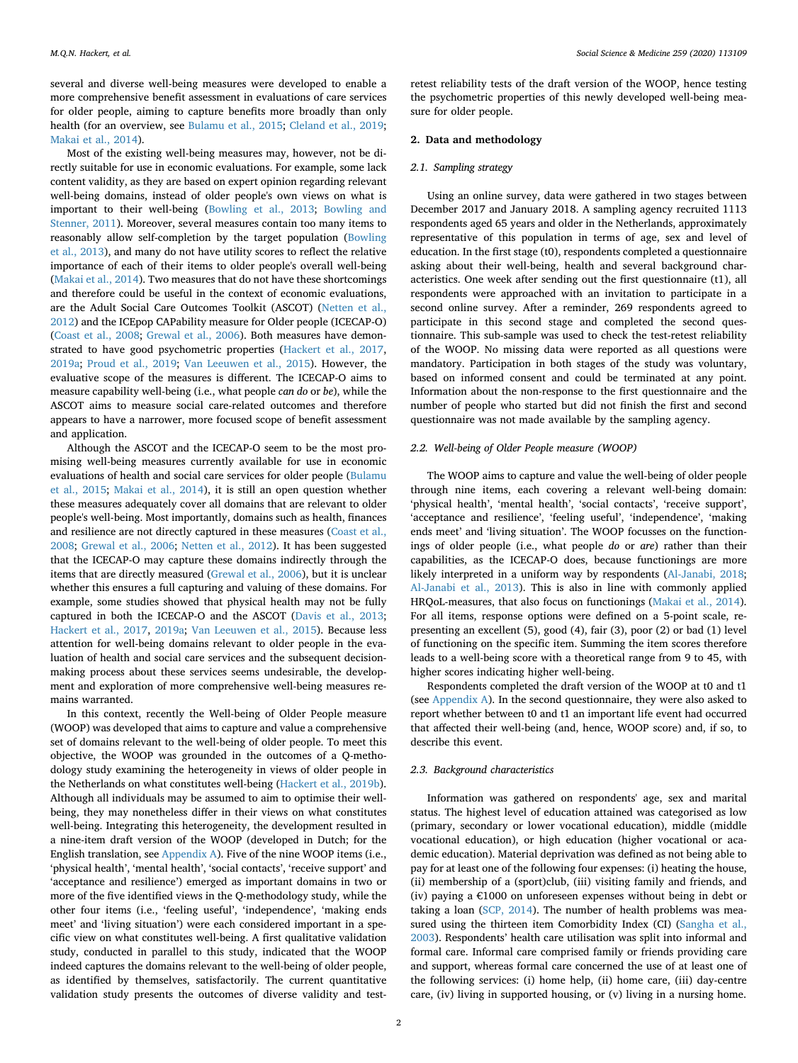several and diverse well-being measures were developed to enable a more comprehensive benefit assessment in evaluations of care services for older people, aiming to capture benefits more broadly than only health (for an overview, see [Bulamu et al., 2015](#page-8-3); [Cleland et al., 2019](#page-8-7); [Makai et al., 2014\)](#page-8-2).

Most of the existing well-being measures may, however, not be directly suitable for use in economic evaluations. For example, some lack content validity, as they are based on expert opinion regarding relevant well-being domains, instead of older people's own views on what is important to their well-being ([Bowling et al., 2013;](#page-8-8) [Bowling and](#page-8-9) [Stenner, 2011](#page-8-9)). Moreover, several measures contain too many items to reasonably allow self-completion by the target population ([Bowling](#page-8-8) [et al., 2013\)](#page-8-8), and many do not have utility scores to reflect the relative importance of each of their items to older people's overall well-being ([Makai et al., 2014\)](#page-8-2). Two measures that do not have these shortcomings and therefore could be useful in the context of economic evaluations, are the Adult Social Care Outcomes Toolkit (ASCOT) [\(Netten et al.,](#page-8-10) [2012\)](#page-8-10) and the ICEpop CAPability measure for Older people (ICECAP-O) ([Coast et al., 2008](#page-8-11); [Grewal et al., 2006](#page-8-12)). Both measures have demonstrated to have good psychometric properties ([Hackert et al., 2017](#page-8-13), [2019a;](#page-8-14) [Proud et al., 2019;](#page-8-15) [Van Leeuwen et al., 2015\)](#page-8-16). However, the evaluative scope of the measures is different. The ICECAP-O aims to measure capability well-being (i.e., what people *can do* or *be*), while the ASCOT aims to measure social care-related outcomes and therefore appears to have a narrower, more focused scope of benefit assessment and application.

Although the ASCOT and the ICECAP-O seem to be the most promising well-being measures currently available for use in economic evaluations of health and social care services for older people ([Bulamu](#page-8-3) [et al., 2015;](#page-8-3) [Makai et al., 2014](#page-8-2)), it is still an open question whether these measures adequately cover all domains that are relevant to older people's well-being. Most importantly, domains such as health, finances and resilience are not directly captured in these measures [\(Coast et al.,](#page-8-11) [2008;](#page-8-11) [Grewal et al., 2006](#page-8-12); [Netten et al., 2012](#page-8-10)). It has been suggested that the ICECAP-O may capture these domains indirectly through the items that are directly measured [\(Grewal et al., 2006](#page-8-12)), but it is unclear whether this ensures a full capturing and valuing of these domains. For example, some studies showed that physical health may not be fully captured in both the ICECAP-O and the ASCOT [\(Davis et al., 2013](#page-8-17); [Hackert et al., 2017](#page-8-13), [2019a;](#page-8-14) [Van Leeuwen et al., 2015](#page-8-16)). Because less attention for well-being domains relevant to older people in the evaluation of health and social care services and the subsequent decisionmaking process about these services seems undesirable, the development and exploration of more comprehensive well-being measures remains warranted.

In this context, recently the Well-being of Older People measure (WOOP) was developed that aims to capture and value a comprehensive set of domains relevant to the well-being of older people. To meet this objective, the WOOP was grounded in the outcomes of a Q-methodology study examining the heterogeneity in views of older people in the Netherlands on what constitutes well-being [\(Hackert et al., 2019b](#page-8-6)). Although all individuals may be assumed to aim to optimise their wellbeing, they may nonetheless differ in their views on what constitutes well-being. Integrating this heterogeneity, the development resulted in a nine-item draft version of the WOOP (developed in Dutch; for the English translation, see Appendix A). Five of the nine WOOP items (i.e., 'physical health', 'mental health', 'social contacts', 'receive support' and 'acceptance and resilience') emerged as important domains in two or more of the five identified views in the Q-methodology study, while the other four items (i.e., 'feeling useful', 'independence', 'making ends meet' and 'living situation') were each considered important in a specific view on what constitutes well-being. A first qualitative validation study, conducted in parallel to this study, indicated that the WOOP indeed captures the domains relevant to the well-being of older people, as identified by themselves, satisfactorily. The current quantitative validation study presents the outcomes of diverse validity and test-

retest reliability tests of the draft version of the WOOP, hence testing the psychometric properties of this newly developed well-being measure for older people.

#### **2. Data and methodology**

#### *2.1. Sampling strategy*

Using an online survey, data were gathered in two stages between December 2017 and January 2018. A sampling agency recruited 1113 respondents aged 65 years and older in the Netherlands, approximately representative of this population in terms of age, sex and level of education. In the first stage (t0), respondents completed a questionnaire asking about their well-being, health and several background characteristics. One week after sending out the first questionnaire (t1), all respondents were approached with an invitation to participate in a second online survey. After a reminder, 269 respondents agreed to participate in this second stage and completed the second questionnaire. This sub-sample was used to check the test-retest reliability of the WOOP. No missing data were reported as all questions were mandatory. Participation in both stages of the study was voluntary, based on informed consent and could be terminated at any point. Information about the non-response to the first questionnaire and the number of people who started but did not finish the first and second questionnaire was not made available by the sampling agency.

#### *2.2. Well-being of Older People measure (WOOP)*

The WOOP aims to capture and value the well-being of older people through nine items, each covering a relevant well-being domain: 'physical health', 'mental health', 'social contacts', 'receive support', 'acceptance and resilience', 'feeling useful', 'independence', 'making ends meet' and 'living situation'. The WOOP focusses on the functionings of older people (i.e., what people *do* or *are*) rather than their capabilities, as the ICECAP-O does, because functionings are more likely interpreted in a uniform way by respondents [\(Al-Janabi, 2018](#page-8-18); [Al-Janabi et al., 2013](#page-8-19)). This is also in line with commonly applied HRQoL-measures, that also focus on functionings [\(Makai et al., 2014](#page-8-2)). For all items, response options were defined on a 5-point scale, representing an excellent (5), good (4), fair (3), poor (2) or bad (1) level of functioning on the specific item. Summing the item scores therefore leads to a well-being score with a theoretical range from 9 to 45, with higher scores indicating higher well-being.

Respondents completed the draft version of the WOOP at t0 and t1 (see Appendix A). In the second questionnaire, they were also asked to report whether between t0 and t1 an important life event had occurred that affected their well-being (and, hence, WOOP score) and, if so, to describe this event.

#### *2.3. Background characteristics*

Information was gathered on respondents' age, sex and marital status. The highest level of education attained was categorised as low (primary, secondary or lower vocational education), middle (middle vocational education), or high education (higher vocational or academic education). Material deprivation was defined as not being able to pay for at least one of the following four expenses: (i) heating the house, (ii) membership of a (sport)club, (iii) visiting family and friends, and (iv) paying a €1000 on unforeseen expenses without being in debt or taking a loan [\(SCP, 2014\)](#page-8-20). The number of health problems was measured using the thirteen item Comorbidity Index (CI) ([Sangha et al.,](#page-8-21) [2003\)](#page-8-21). Respondents' health care utilisation was split into informal and formal care. Informal care comprised family or friends providing care and support, whereas formal care concerned the use of at least one of the following services: (i) home help, (ii) home care, (iii) day-centre care, (iv) living in supported housing, or (v) living in a nursing home.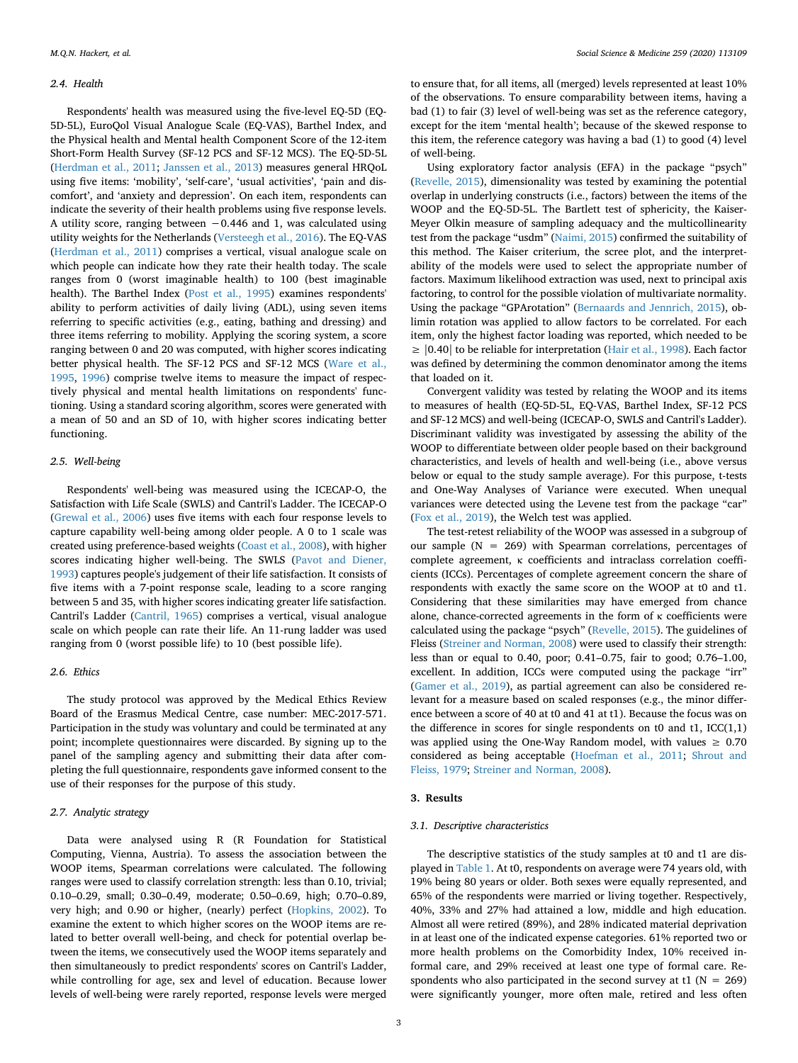#### *2.4. Health*

Respondents' health was measured using the five-level EQ-5D (EQ-5D-5L), EuroQol Visual Analogue Scale (EQ-VAS), Barthel Index, and the Physical health and Mental health Component Score of the 12-item Short-Form Health Survey (SF-12 PCS and SF-12 MCS). The EQ-5D-5L ([Herdman et al., 2011](#page-8-22); [Janssen et al., 2013](#page-8-23)) measures general HRQoL using five items: 'mobility', 'self-care', 'usual activities', 'pain and discomfort', and 'anxiety and depression'. On each item, respondents can indicate the severity of their health problems using five response levels. A utility score, ranging between −0.446 and 1, was calculated using utility weights for the Netherlands ([Versteegh et al., 2016](#page-8-24)). The EQ-VAS ([Herdman et al., 2011\)](#page-8-22) comprises a vertical, visual analogue scale on which people can indicate how they rate their health today. The scale ranges from 0 (worst imaginable health) to 100 (best imaginable health). The Barthel Index ([Post et al., 1995\)](#page-8-25) examines respondents' ability to perform activities of daily living (ADL), using seven items referring to specific activities (e.g., eating, bathing and dressing) and three items referring to mobility. Applying the scoring system, a score ranging between 0 and 20 was computed, with higher scores indicating better physical health. The SF-12 PCS and SF-12 MCS [\(Ware et al.,](#page-8-26) [1995,](#page-8-26) [1996\)](#page-8-27) comprise twelve items to measure the impact of respectively physical and mental health limitations on respondents' functioning. Using a standard scoring algorithm, scores were generated with a mean of 50 and an SD of 10, with higher scores indicating better functioning.

#### *2.5. Well-being*

Respondents' well-being was measured using the ICECAP-O, the Satisfaction with Life Scale (SWLS) and Cantril's Ladder. The ICECAP-O ([Grewal et al., 2006\)](#page-8-12) uses five items with each four response levels to capture capability well-being among older people. A 0 to 1 scale was created using preference-based weights [\(Coast et al., 2008\)](#page-8-11), with higher scores indicating higher well-being. The SWLS ([Pavot and Diener,](#page-8-28) [1993\)](#page-8-28) captures people's judgement of their life satisfaction. It consists of five items with a 7-point response scale, leading to a score ranging between 5 and 35, with higher scores indicating greater life satisfaction. Cantril's Ladder [\(Cantril, 1965](#page-8-29)) comprises a vertical, visual analogue scale on which people can rate their life. An 11-rung ladder was used ranging from 0 (worst possible life) to 10 (best possible life).

# *2.6. Ethics*

The study protocol was approved by the Medical Ethics Review Board of the Erasmus Medical Centre, case number: MEC-2017-571. Participation in the study was voluntary and could be terminated at any point; incomplete questionnaires were discarded. By signing up to the panel of the sampling agency and submitting their data after completing the full questionnaire, respondents gave informed consent to the use of their responses for the purpose of this study.

# *2.7. Analytic strategy*

Data were analysed using R (R Foundation for Statistical Computing, Vienna, Austria). To assess the association between the WOOP items, Spearman correlations were calculated. The following ranges were used to classify correlation strength: less than 0.10, trivial; 0.10–0.29, small; 0.30–0.49, moderate; 0.50–0.69, high; 0.70–0.89, very high; and 0.90 or higher, (nearly) perfect ([Hopkins, 2002\)](#page-8-30). To examine the extent to which higher scores on the WOOP items are related to better overall well-being, and check for potential overlap between the items, we consecutively used the WOOP items separately and then simultaneously to predict respondents' scores on Cantril's Ladder, while controlling for age, sex and level of education. Because lower levels of well-being were rarely reported, response levels were merged

to ensure that, for all items, all (merged) levels represented at least 10% of the observations. To ensure comparability between items, having a bad (1) to fair (3) level of well-being was set as the reference category, except for the item 'mental health'; because of the skewed response to this item, the reference category was having a bad (1) to good (4) level of well-being.

Using exploratory factor analysis (EFA) in the package "psych" ([Revelle, 2015](#page-8-31)), dimensionality was tested by examining the potential overlap in underlying constructs (i.e., factors) between the items of the WOOP and the EQ-5D-5L. The Bartlett test of sphericity, the Kaiser-Meyer Olkin measure of sampling adequacy and the multicollinearity test from the package "usdm" [\(Naimi, 2015\)](#page-8-32) confirmed the suitability of this method. The Kaiser criterium, the scree plot, and the interpretability of the models were used to select the appropriate number of factors. Maximum likelihood extraction was used, next to principal axis factoring, to control for the possible violation of multivariate normality. Using the package "GPArotation" [\(Bernaards and Jennrich, 2015](#page-8-33)), oblimin rotation was applied to allow factors to be correlated. For each item, only the highest factor loading was reported, which needed to be  $\geq$  |0.40| to be reliable for interpretation ([Hair et al., 1998\)](#page-8-34). Each factor was defined by determining the common denominator among the items that loaded on it.

Convergent validity was tested by relating the WOOP and its items to measures of health (EQ-5D-5L, EQ-VAS, Barthel Index, SF-12 PCS and SF-12 MCS) and well-being (ICECAP-O, SWLS and Cantril's Ladder). Discriminant validity was investigated by assessing the ability of the WOOP to differentiate between older people based on their background characteristics, and levels of health and well-being (i.e., above versus below or equal to the study sample average). For this purpose, t-tests and One-Way Analyses of Variance were executed. When unequal variances were detected using the Levene test from the package "car" ([Fox et al., 2019\)](#page-8-35), the Welch test was applied.

The test-retest reliability of the WOOP was assessed in a subgroup of our sample  $(N = 269)$  with Spearman correlations, percentages of complete agreement, κ coefficients and intraclass correlation coefficients (ICCs). Percentages of complete agreement concern the share of respondents with exactly the same score on the WOOP at t0 and t1. Considering that these similarities may have emerged from chance alone, chance-corrected agreements in the form of κ coefficients were calculated using the package "psych" ([Revelle, 2015](#page-8-31)). The guidelines of Fleiss [\(Streiner and Norman, 2008](#page-8-36)) were used to classify their strength: less than or equal to 0.40, poor; 0.41–0.75, fair to good; 0.76–1.00, excellent. In addition, ICCs were computed using the package "irr" ([Gamer et al., 2019\)](#page-8-37), as partial agreement can also be considered relevant for a measure based on scaled responses (e.g., the minor difference between a score of 40 at t0 and 41 at t1). Because the focus was on the difference in scores for single respondents on t0 and  $t1$ , ICC $(1,1)$ was applied using the One-Way Random model, with values  $\geq 0.70$ considered as being acceptable [\(Hoefman et al., 2011](#page-8-38); [Shrout and](#page-8-39) [Fleiss, 1979;](#page-8-39) [Streiner and Norman, 2008](#page-8-36)).

# **3. Results**

# *3.1. Descriptive characteristics*

The descriptive statistics of the study samples at t0 and t1 are displayed in [Table 1.](#page-3-0) At t0, respondents on average were 74 years old, with 19% being 80 years or older. Both sexes were equally represented, and 65% of the respondents were married or living together. Respectively, 40%, 33% and 27% had attained a low, middle and high education. Almost all were retired (89%), and 28% indicated material deprivation in at least one of the indicated expense categories. 61% reported two or more health problems on the Comorbidity Index, 10% received informal care, and 29% received at least one type of formal care. Respondents who also participated in the second survey at t1 ( $N = 269$ ) were significantly younger, more often male, retired and less often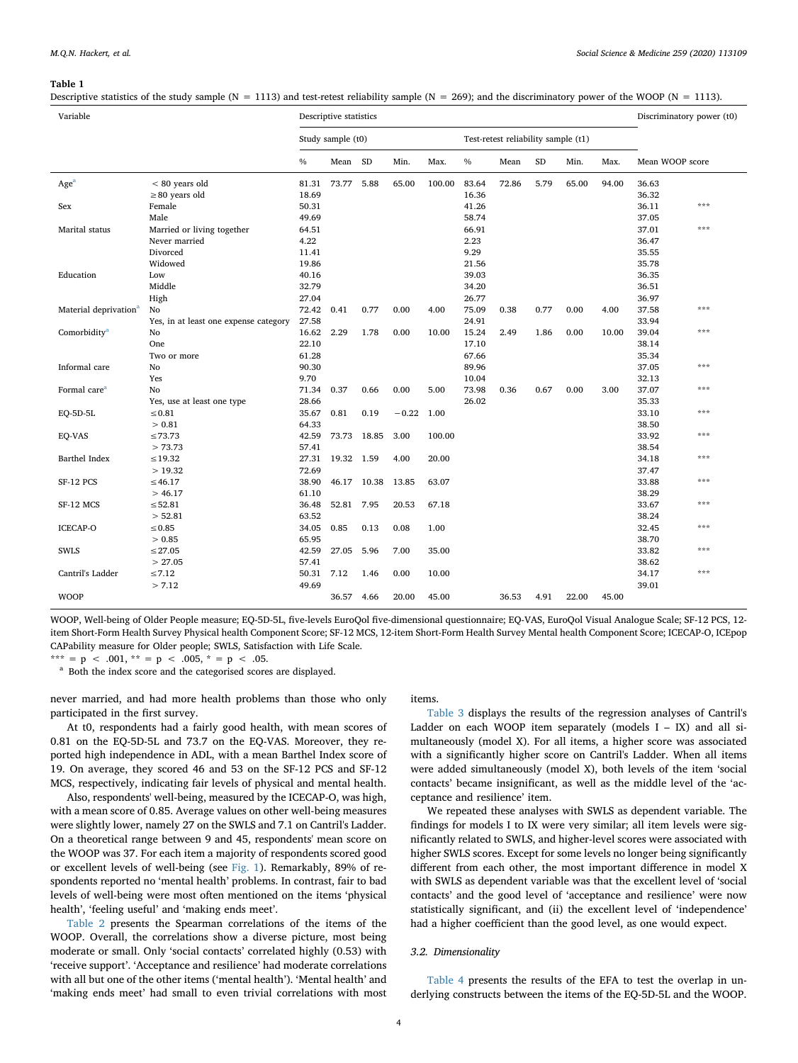#### <span id="page-3-0"></span>**Table 1**

Descriptive statistics of the study sample (N = 1113) and test-retest reliability sample (N = 269); and the discriminatory power of the WOOP (N = 1113).

| Variable                          |                                       | Descriptive statistics |             |             |         |        |                                     |       |          | Discriminatory power (t0) |       |                 |     |
|-----------------------------------|---------------------------------------|------------------------|-------------|-------------|---------|--------|-------------------------------------|-------|----------|---------------------------|-------|-----------------|-----|
|                                   |                                       | Study sample (t0)      |             |             |         |        | Test-retest reliability sample (t1) |       |          |                           |       |                 |     |
|                                   |                                       | $\frac{0}{0}$          | Mean SD     |             | Min.    | Max.   | $\%$                                | Mean  | $\rm SD$ | Min.                      | Max.  | Mean WOOP score |     |
| Age <sup>a</sup>                  | $< 80$ years old                      | 81.31                  | 73.77       | 5.88        | 65.00   | 100.00 | 83.64                               | 72.86 | 5.79     | 65.00                     | 94.00 | 36.63           |     |
|                                   | $\geq$ 80 years old                   | 18.69                  |             |             |         |        | 16.36                               |       |          |                           |       | 36.32           |     |
| Sex                               | Female                                | 50.31                  |             |             |         |        | 41.26                               |       |          |                           |       | 36.11           | *** |
|                                   | Male                                  | 49.69                  |             |             |         |        | 58.74                               |       |          |                           |       | 37.05           |     |
| Marital status                    | Married or living together            | 64.51                  |             |             |         |        | 66.91                               |       |          |                           |       | 37.01           | *** |
|                                   | Never married                         | 4.22                   |             |             |         |        | 2.23                                |       |          |                           |       | 36.47           |     |
|                                   | Divorced                              | 11.41                  |             |             |         |        | 9.29                                |       |          |                           |       | 35.55           |     |
|                                   | Widowed                               | 19.86                  |             |             |         |        | 21.56                               |       |          |                           |       | 35.78           |     |
| Education                         | Low                                   | 40.16                  |             |             |         |        | 39.03                               |       |          |                           |       | 36.35           |     |
|                                   | Middle                                | 32.79                  |             |             |         |        | 34.20                               |       |          |                           |       | 36.51           |     |
|                                   | High                                  | 27.04                  |             |             |         |        | 26.77                               |       |          |                           |       | 36.97           |     |
| Material deprivation <sup>a</sup> | No                                    | 72.42                  | 0.41        | 0.77        | 0.00    | 4.00   | 75.09                               | 0.38  | 0.77     | 0.00                      | 4.00  | 37.58           | *** |
|                                   | Yes, in at least one expense category | 27.58                  |             |             |         |        | 24.91                               |       |          |                           |       | 33.94           |     |
| Comorbidity <sup>a</sup>          | No                                    | 16.62                  | 2.29        | 1.78        | 0.00    | 10.00  | 15.24                               | 2.49  | 1.86     | 0.00                      | 10.00 | 39.04           | *** |
|                                   | One                                   | 22.10                  |             |             |         |        | 17.10                               |       |          |                           |       | 38.14           |     |
|                                   | Two or more                           | 61.28                  |             |             |         |        | 67.66                               |       |          |                           |       | 35.34           |     |
| Informal care                     | No                                    | 90.30                  |             |             |         |        | 89.96                               |       |          |                           |       | 37.05           | *** |
|                                   | Yes                                   | 9.70                   |             |             |         |        | 10.04                               |       |          |                           |       | 32.13           |     |
| Formal care <sup>a</sup>          | No                                    | 71.34                  | 0.37        | 0.66        | 0.00    | 5.00   | 73.98                               | 0.36  | 0.67     | 0.00                      | 3.00  | 37.07           | *** |
|                                   | Yes, use at least one type            | 28.66                  |             |             |         |        | 26.02                               |       |          |                           |       | 35.33           |     |
| EQ-5D-5L                          | $\leq 0.81$                           | 35.67                  | 0.81        | 0.19        | $-0.22$ | 1.00   |                                     |       |          |                           |       | 33.10           | *** |
|                                   | > 0.81                                | 64.33                  |             |             |         |        |                                     |       |          |                           |       | 38.50           |     |
| EO-VAS                            | $\leq 73.73$                          | 42.59                  | 73.73 18.85 |             | 3.00    | 100.00 |                                     |       |          |                           |       | 33.92           | *** |
|                                   | > 73.73                               | 57.41                  |             |             |         |        |                                     |       |          |                           |       | 38.54           |     |
| Barthel Index                     | $\leq 19.32$                          | 27.31                  | 19.32 1.59  |             | 4.00    | 20.00  |                                     |       |          |                           |       | 34.18           | *** |
|                                   | >19.32                                | 72.69                  |             |             |         |        |                                     |       |          |                           |       | 37.47           |     |
| SF-12 PCS                         | $\leq 46.17$                          | 38.90                  |             | 46.17 10.38 | 13.85   | 63.07  |                                     |       |          |                           |       | 33.88           | *** |
|                                   | > 46.17                               | 61.10                  |             |             |         |        |                                     |       |          |                           |       | 38.29           |     |
| SF-12 MCS                         | $\leq 52.81$                          | 36.48                  | 52.81       | 7.95        | 20.53   | 67.18  |                                     |       |          |                           |       | 33.67           | *** |
|                                   | > 52.81                               | 63.52                  |             |             |         |        |                                     |       |          |                           |       | 38.24           |     |
| <b>ICECAP-O</b>                   | $\leq 0.85$                           | 34.05                  | 0.85        | 0.13        | 0.08    | 1.00   |                                     |       |          |                           |       | 32.45           | *** |
|                                   | > 0.85                                | 65.95                  |             |             |         |        |                                     |       |          |                           |       | 38.70           |     |
| <b>SWLS</b>                       | $\leq$ 27.05                          | 42.59                  | 27.05       | 5.96        | 7.00    | 35.00  |                                     |       |          |                           |       | 33.82           | *** |
|                                   | > 27.05                               | 57.41                  |             |             |         |        |                                     |       |          |                           |       | 38.62           |     |
| Cantril's Ladder                  | $\leq 7.12$                           | 50.31                  | 7.12        | 1.46        | 0.00    | 10.00  |                                     |       |          |                           |       | 34.17           | *** |
|                                   | > 7.12                                | 49.69                  |             |             |         |        |                                     |       |          |                           |       | 39.01           |     |
| <b>WOOP</b>                       |                                       |                        | 36.57       | 4.66        | 20.00   | 45.00  |                                     | 36.53 | 4.91     | 22.00                     | 45.00 |                 |     |

WOOP, Well-being of Older People measure; EQ-5D-5L, five-levels EuroQol five-dimensional questionnaire; EQ-VAS, EuroQol Visual Analogue Scale; SF-12 PCS, 12 item Short-Form Health Survey Physical health Component Score; SF-12 MCS, 12-item Short-Form Health Survey Mental health Component Score; ICECAP-O, ICEpop CAPability measure for Older people; SWLS, Satisfaction with Life Scale.

\*\*\* = p < .001, \*\* = p < .005, \* = p < .05.

<span id="page-3-1"></span><sup>a</sup> Both the index score and the categorised scores are displayed.

never married, and had more health problems than those who only participated in the first survey.

At t0, respondents had a fairly good health, with mean scores of 0.81 on the EQ-5D-5L and 73.7 on the EQ-VAS. Moreover, they reported high independence in ADL, with a mean Barthel Index score of 19. On average, they scored 46 and 53 on the SF-12 PCS and SF-12 MCS, respectively, indicating fair levels of physical and mental health.

Also, respondents' well-being, measured by the ICECAP-O, was high, with a mean score of 0.85. Average values on other well-being measures were slightly lower, namely 27 on the SWLS and 7.1 on Cantril's Ladder. On a theoretical range between 9 and 45, respondents' mean score on the WOOP was 37. For each item a majority of respondents scored good or excellent levels of well-being (see [Fig. 1\)](#page-4-0). Remarkably, 89% of respondents reported no 'mental health' problems. In contrast, fair to bad levels of well-being were most often mentioned on the items 'physical health', 'feeling useful' and 'making ends meet'.

[Table 2](#page-4-1) presents the Spearman correlations of the items of the WOOP. Overall, the correlations show a diverse picture, most being moderate or small. Only 'social contacts' correlated highly (0.53) with 'receive support'. 'Acceptance and resilience' had moderate correlations with all but one of the other items ('mental health'). 'Mental health' and 'making ends meet' had small to even trivial correlations with most items.

[Table 3](#page-5-0) displays the results of the regression analyses of Cantril's Ladder on each WOOP item separately (models  $I - IX$ ) and all simultaneously (model X). For all items, a higher score was associated with a significantly higher score on Cantril's Ladder. When all items were added simultaneously (model X), both levels of the item 'social contacts' became insignificant, as well as the middle level of the 'acceptance and resilience' item.

We repeated these analyses with SWLS as dependent variable. The findings for models I to IX were very similar; all item levels were significantly related to SWLS, and higher-level scores were associated with higher SWLS scores. Except for some levels no longer being significantly different from each other, the most important difference in model X with SWLS as dependent variable was that the excellent level of 'social contacts' and the good level of 'acceptance and resilience' were now statistically significant, and (ii) the excellent level of 'independence' had a higher coefficient than the good level, as one would expect.

#### *3.2. Dimensionality*

[Table 4](#page-5-1) presents the results of the EFA to test the overlap in underlying constructs between the items of the EQ-5D-5L and the WOOP.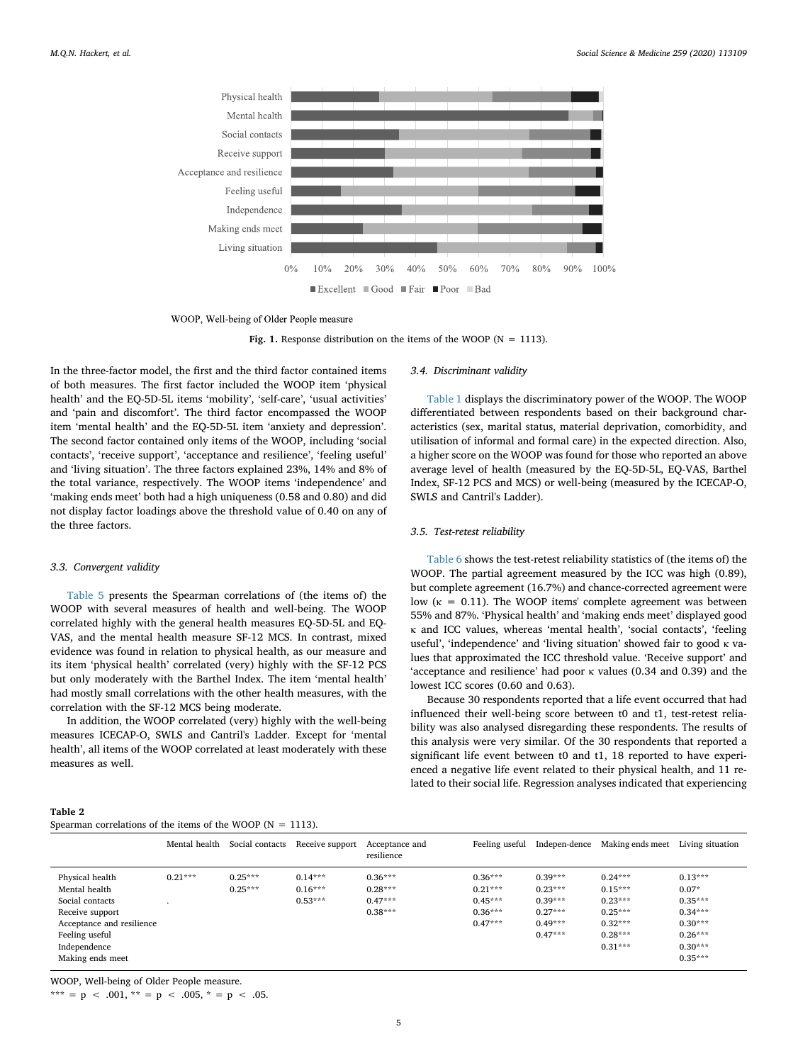<span id="page-4-0"></span>

WOOP, Well-being of Older People measure

**Fig. 1.** Response distribution on the items of the WOOP ( $N = 1113$ ).

In the three-factor model, the first and the third factor contained items of both measures. The first factor included the WOOP item 'physical health' and the EQ-5D-5L items 'mobility', 'self-care', 'usual activities' and 'pain and discomfort'. The third factor encompassed the WOOP item 'mental health' and the EQ-5D-5L item 'anxiety and depression'. The second factor contained only items of the WOOP, including 'social contacts', 'receive support', 'acceptance and resilience', 'feeling useful' and 'living situation'. The three factors explained 23%, 14% and 8% of the total variance, respectively. The WOOP items 'independence' and 'making ends meet' both had a high uniqueness (0.58 and 0.80) and did not display factor loadings above the threshold value of 0.40 on any of the three factors.

# *3.3. Convergent validity*

[Table 5](#page-6-0) presents the Spearman correlations of (the items of) the WOOP with several measures of health and well-being. The WOOP correlated highly with the general health measures EQ-5D-5L and EQ-VAS, and the mental health measure SF-12 MCS. In contrast, mixed evidence was found in relation to physical health, as our measure and its item 'physical health' correlated (very) highly with the SF-12 PCS but only moderately with the Barthel Index. The item 'mental health' had mostly small correlations with the other health measures, with the correlation with the SF-12 MCS being moderate.

In addition, the WOOP correlated (very) highly with the well-being measures ICECAP-O, SWLS and Cantril's Ladder. Except for 'mental health', all items of the WOOP correlated at least moderately with these measures as well.

#### *3.4. Discriminant validity*

[Table 1](#page-3-0) displays the discriminatory power of the WOOP. The WOOP differentiated between respondents based on their background characteristics (sex, marital status, material deprivation, comorbidity, and utilisation of informal and formal care) in the expected direction. Also, a higher score on the WOOP was found for those who reported an above average level of health (measured by the EQ-5D-5L, EQ-VAS, Barthel Index, SF-12 PCS and MCS) or well-being (measured by the ICECAP-O, SWLS and Cantril's Ladder).

# *3.5. Test-retest reliability*

[Table 6](#page-6-1) shows the test-retest reliability statistics of (the items of) the WOOP. The partial agreement measured by the ICC was high (0.89), but complete agreement (16.7%) and chance-corrected agreement were low ( $\kappa = 0.11$ ). The WOOP items' complete agreement was between 55% and 87%. 'Physical health' and 'making ends meet' displayed good κ and ICC values, whereas 'mental health', 'social contacts', 'feeling useful', 'independence' and 'living situation' showed fair to good κ values that approximated the ICC threshold value. 'Receive support' and 'acceptance and resilience' had poor κ values (0.34 and 0.39) and the lowest ICC scores (0.60 and 0.63).

Because 30 respondents reported that a life event occurred that had influenced their well-being score between t0 and t1, test-retest reliability was also analysed disregarding these respondents. The results of this analysis were very similar. Of the 30 respondents that reported a significant life event between t0 and t1, 18 reported to have experienced a negative life event related to their physical health, and 11 related to their social life. Regression analyses indicated that experiencing

# <span id="page-4-1"></span>**Table 2**

| Spearman correlations of the items of the WOOP ( $N = 1113$ ). |  |  |  |  |  |  |
|----------------------------------------------------------------|--|--|--|--|--|--|
|----------------------------------------------------------------|--|--|--|--|--|--|

|                                                                                                                                                           | Mental health | Social contacts        | Receive support                     | Acceptance and<br>resilience                     | Feeling useful                                                | Indepen-dence                                                              | Making ends meet                                                                        | Living situation                                                                                   |
|-----------------------------------------------------------------------------------------------------------------------------------------------------------|---------------|------------------------|-------------------------------------|--------------------------------------------------|---------------------------------------------------------------|----------------------------------------------------------------------------|-----------------------------------------------------------------------------------------|----------------------------------------------------------------------------------------------------|
| Physical health<br>Mental health<br>Social contacts<br>Receive support<br>Acceptance and resilience<br>Feeling useful<br>Independence<br>Making ends meet | $0.21***$     | $0.25***$<br>$0.25***$ | $0.14***$<br>$0.16***$<br>$0.53***$ | $0.36***$<br>$0.28***$<br>$0.47***$<br>$0.38***$ | $0.36***$<br>$0.21***$<br>$0.45***$<br>$0.36***$<br>$0.47***$ | $0.39***$<br>$0.23***$<br>$0.39***$<br>$0.27***$<br>$0.49***$<br>$0.47***$ | $0.24***$<br>$0.15***$<br>$0.23***$<br>$0.25***$<br>$0.32***$<br>$0.28***$<br>$0.31***$ | $0.13***$<br>$0.07*$<br>$0.35***$<br>$0.34***$<br>$0.30***$<br>$0.26***$<br>$0.30***$<br>$0.35***$ |
|                                                                                                                                                           |               |                        |                                     |                                                  |                                                               |                                                                            |                                                                                         |                                                                                                    |

WOOP, Well-being of Older People measure.

\*\*\* = p < .001, \*\* = p < .005, \* = p < .05.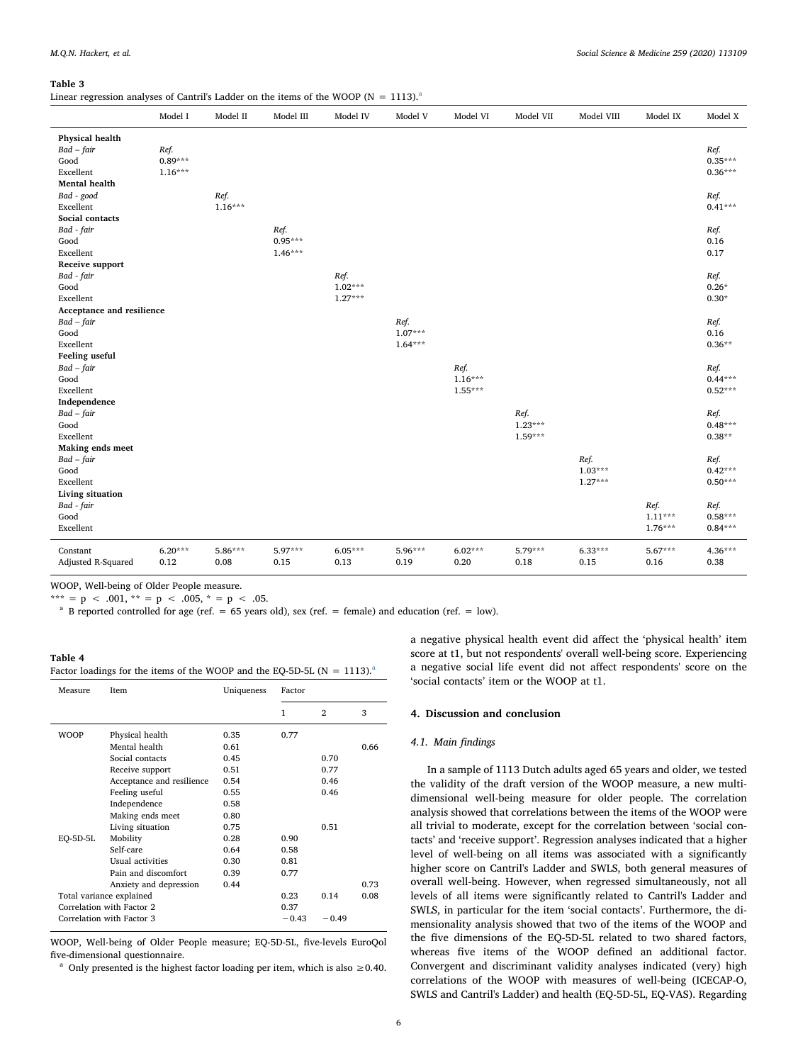#### <span id="page-5-0"></span>**Table 3**

Line[a](#page-5-2)r regression analyses of Cantril's Ladder on the items of the WOOP ( $N = 1113$ ).<sup>a</sup>

|                           | Model I   | Model II  | Model III | Model IV  | Model V   | Model VI  | Model VII | Model VIII | Model IX  | Model X   |
|---------------------------|-----------|-----------|-----------|-----------|-----------|-----------|-----------|------------|-----------|-----------|
| Physical health           |           |           |           |           |           |           |           |            |           |           |
| $Bad-fair$                | Ref.      |           |           |           |           |           |           |            |           | Ref.      |
| Good                      | $0.89***$ |           |           |           |           |           |           |            |           | $0.35***$ |
| Excellent                 | $1.16***$ |           |           |           |           |           |           |            |           | $0.36***$ |
| <b>Mental</b> health      |           |           |           |           |           |           |           |            |           |           |
| Bad - good                |           | Ref.      |           |           |           |           |           |            |           | Ref.      |
| Excellent                 |           | $1.16***$ |           |           |           |           |           |            |           | $0.41***$ |
| Social contacts           |           |           |           |           |           |           |           |            |           |           |
| Bad - fair                |           |           | Ref.      |           |           |           |           |            |           | Ref.      |
| Good                      |           |           | $0.95***$ |           |           |           |           |            |           | 0.16      |
| Excellent                 |           |           | $1.46***$ |           |           |           |           |            |           | 0.17      |
| Receive support           |           |           |           |           |           |           |           |            |           |           |
| Bad - fair                |           |           |           | Ref.      |           |           |           |            |           | Ref.      |
| Good                      |           |           |           | $1.02***$ |           |           |           |            |           | $0.26*$   |
| Excellent                 |           |           |           | $1.27***$ |           |           |           |            |           | $0.30*$   |
| Acceptance and resilience |           |           |           |           |           |           |           |            |           |           |
| $Bad-fair$                |           |           |           |           | Ref.      |           |           |            |           | Ref.      |
| Good                      |           |           |           |           | $1.07***$ |           |           |            |           | 0.16      |
| Excellent                 |           |           |           |           | $1.64***$ |           |           |            |           | $0.36**$  |
| Feeling useful            |           |           |           |           |           |           |           |            |           |           |
| $Bad-fair$                |           |           |           |           |           | Ref.      |           |            |           | Ref.      |
| Good                      |           |           |           |           |           | $1.16***$ |           |            |           | $0.44***$ |
| Excellent                 |           |           |           |           |           | $1.55***$ |           |            |           | $0.52***$ |
| Independence              |           |           |           |           |           |           |           |            |           |           |
| $Bad-fair$                |           |           |           |           |           |           | Ref.      |            |           | Ref.      |
| Good                      |           |           |           |           |           |           | $1.23***$ |            |           | $0.48***$ |
| Excellent                 |           |           |           |           |           |           | $1.59***$ |            |           | $0.38**$  |
| Making ends meet          |           |           |           |           |           |           |           |            |           |           |
| $Bad-fair$                |           |           |           |           |           |           |           | Ref.       |           | Ref.      |
| Good                      |           |           |           |           |           |           |           | $1.03***$  |           | $0.42***$ |
| Excellent                 |           |           |           |           |           |           |           | $1.27***$  |           | $0.50***$ |
| Living situation          |           |           |           |           |           |           |           |            |           |           |
| Bad - fair                |           |           |           |           |           |           |           |            | Ref.      | Ref.      |
| Good                      |           |           |           |           |           |           |           |            | $1.11***$ | $0.58***$ |
| Excellent                 |           |           |           |           |           |           |           |            | $1.76***$ | $0.84***$ |
|                           |           |           |           |           |           |           |           |            |           |           |
| Constant                  | $6.20***$ | 5.86***   | 5.97***   | $6.05***$ | 5.96***   | $6.02***$ | 5.79***   | $6.33***$  | $5.67***$ | $4.36***$ |
| Adjusted R-Squared        | 0.12      | 0.08      | 0.15      | 0.13      | 0.19      | 0.20      | 0.18      | 0.15       | 0.16      | 0.38      |
|                           |           |           |           |           |           |           |           |            |           |           |

WOOP, Well-being of Older People measure.

\*\*\* = p < .001, \*\* = p < .005, \* = p < .05.

<span id="page-5-2"></span><sup>a</sup> B reported controlled for age (ref. = 65 years old), sex (ref. = female) and education (ref. = low).

# <span id="page-5-1"></span>**Table 4** F[a](#page-5-3)ctor loadings for the items of the WOOP and the EQ-5D-5L (N = 1113).<sup>a</sup>

| Measure     | <b>Item</b>               | Uniqueness | Factor  |              |      |
|-------------|---------------------------|------------|---------|--------------|------|
|             |                           |            | 1       | $\mathbf{2}$ | 3    |
| <b>WOOP</b> | Physical health           | 0.35       | 0.77    |              |      |
|             | Mental health             | 0.61       |         |              | 0.66 |
|             | Social contacts           | 0.45       |         | 0.70         |      |
|             | Receive support           | 0.51       |         | 0.77         |      |
|             | Acceptance and resilience | 0.54       |         | 0.46         |      |
|             | Feeling useful            | 0.55       |         | 0.46         |      |
|             | Independence              | 0.58       |         |              |      |
|             | Making ends meet          | 0.80       |         |              |      |
|             | Living situation          | 0.75       |         | 0.51         |      |
| EO-5D-5L    | Mobility                  | 0.28       | 0.90    |              |      |
|             | Self-care                 | 0.64       | 0.58    |              |      |
|             | Usual activities          | 0.30       | 0.81    |              |      |
|             | Pain and discomfort       | 0.39       | 0.77    |              |      |
|             | Anxiety and depression    | 0.44       |         |              | 0.73 |
|             | Total variance explained  |            | 0.23    | 0.14         | 0.08 |
|             | Correlation with Factor 2 |            | 0.37    |              |      |
|             | Correlation with Factor 3 |            | $-0.43$ | $-0.49$      |      |

WOOP, Well-being of Older People measure; EQ-5D-5L, five-levels EuroQol five-dimensional questionnaire.

<span id="page-5-3"></span><sup>a</sup> Only presented is the highest factor loading per item, which is also  $\geq 0.40$ .

a negative physical health event did affect the 'physical health' item score at t1, but not respondents' overall well-being score. Experiencing a negative social life event did not affect respondents' score on the 'social contacts' item or the WOOP at t1.

### **4. Discussion and conclusion**

#### *4.1. Main findings*

In a sample of 1113 Dutch adults aged 65 years and older, we tested the validity of the draft version of the WOOP measure, a new multidimensional well-being measure for older people. The correlation analysis showed that correlations between the items of the WOOP were all trivial to moderate, except for the correlation between 'social contacts' and 'receive support'. Regression analyses indicated that a higher level of well-being on all items was associated with a significantly higher score on Cantril's Ladder and SWLS, both general measures of overall well-being. However, when regressed simultaneously, not all levels of all items were significantly related to Cantril's Ladder and SWLS, in particular for the item 'social contacts'. Furthermore, the dimensionality analysis showed that two of the items of the WOOP and the five dimensions of the EQ-5D-5L related to two shared factors, whereas five items of the WOOP defined an additional factor. Convergent and discriminant validity analyses indicated (very) high correlations of the WOOP with measures of well-being (ICECAP-O, SWLS and Cantril's Ladder) and health (EQ-5D-5L, EQ-VAS). Regarding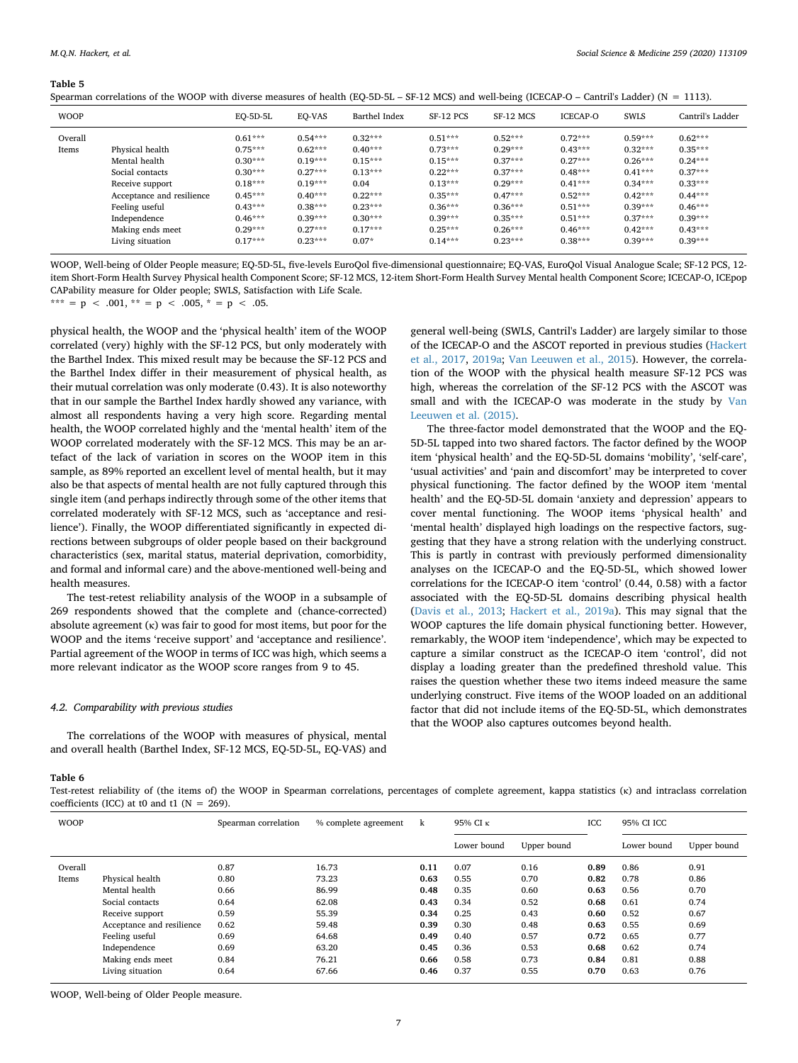#### <span id="page-6-0"></span>**Table 5**

|  |  | Spearman correlations of the WOOP with diverse measures of health (EQ-5D-5L – SF-12 MCS) and well-being (ICECAP-O – Cantril's Ladder) ( $N = 1113$ ). |  |
|--|--|-------------------------------------------------------------------------------------------------------------------------------------------------------|--|
|--|--|-------------------------------------------------------------------------------------------------------------------------------------------------------|--|

| <b>WOOP</b> |                           | $EO-5D-5L$ | EO-VAS    | Barthel Index | SF-12 PCS | SF-12 MCS | <b>ICECAP-O</b> | <b>SWLS</b> | Cantril's Ladder |
|-------------|---------------------------|------------|-----------|---------------|-----------|-----------|-----------------|-------------|------------------|
| Overall     |                           | $0.61***$  | $0.54***$ | $0.32***$     | $0.51***$ | $0.52***$ | $0.72***$       | $0.59***$   | $0.62***$        |
| Items       | Physical health           | $0.75***$  | $0.62***$ | $0.40***$     | $0.73***$ | $0.29***$ | $0.43***$       | $0.32***$   | $0.35***$        |
|             | Mental health             | $0.30***$  | $0.19***$ | $0.15***$     | $0.15***$ | $0.37***$ | $0.27***$       | $0.26***$   | $0.24***$        |
|             | Social contacts           | $0.30***$  | $0.27***$ | $0.13***$     | $0.22***$ | $0.37***$ | $0.48***$       | $0.41***$   | $0.37***$        |
|             | Receive support           | $0.18***$  | $0.19***$ | 0.04          | $0.13***$ | $0.29***$ | $0.41***$       | $0.34***$   | $0.33***$        |
|             | Acceptance and resilience | $0.45***$  | $0.40***$ | $0.22***$     | $0.35***$ | $0.47***$ | $0.52***$       | $0.42***$   | $0.44***$        |
|             | Feeling useful            | $0.43***$  | $0.38***$ | $0.23***$     | $0.36***$ | $0.36***$ | $0.51***$       | $0.39***$   | $0.46***$        |
|             | Independence              | $0.46***$  | $0.39***$ | $0.30***$     | $0.39***$ | $0.35***$ | $0.51***$       | $0.37***$   | $0.39***$        |
|             | Making ends meet          | $0.29***$  | $0.27***$ | $0.17***$     | $0.25***$ | $0.26***$ | $0.46***$       | $0.42***$   | $0.43***$        |
|             | Living situation          | $0.17***$  | $0.23***$ | $0.07*$       | $0.14***$ | $0.23***$ | $0.38***$       | $0.39***$   | $0.39***$        |

WOOP, Well-being of Older People measure; EQ-5D-5L, five-levels EuroQol five-dimensional questionnaire; EQ-VAS, EuroQol Visual Analogue Scale; SF-12 PCS, 12 item Short-Form Health Survey Physical health Component Score; SF-12 MCS, 12-item Short-Form Health Survey Mental health Component Score; ICECAP-O, ICEpop CAPability measure for Older people; SWLS, Satisfaction with Life Scale.

\*\*\* = p < .001, \*\* = p < .005, \* = p < .05.

physical health, the WOOP and the 'physical health' item of the WOOP correlated (very) highly with the SF-12 PCS, but only moderately with the Barthel Index. This mixed result may be because the SF-12 PCS and the Barthel Index differ in their measurement of physical health, as their mutual correlation was only moderate (0.43). It is also noteworthy that in our sample the Barthel Index hardly showed any variance, with almost all respondents having a very high score. Regarding mental health, the WOOP correlated highly and the 'mental health' item of the WOOP correlated moderately with the SF-12 MCS. This may be an artefact of the lack of variation in scores on the WOOP item in this sample, as 89% reported an excellent level of mental health, but it may also be that aspects of mental health are not fully captured through this single item (and perhaps indirectly through some of the other items that correlated moderately with SF-12 MCS, such as 'acceptance and resilience'). Finally, the WOOP differentiated significantly in expected directions between subgroups of older people based on their background characteristics (sex, marital status, material deprivation, comorbidity, and formal and informal care) and the above-mentioned well-being and health measures.

The test-retest reliability analysis of the WOOP in a subsample of 269 respondents showed that the complete and (chance-corrected) absolute agreement (κ) was fair to good for most items, but poor for the WOOP and the items 'receive support' and 'acceptance and resilience'. Partial agreement of the WOOP in terms of ICC was high, which seems a more relevant indicator as the WOOP score ranges from 9 to 45.

#### *4.2. Comparability with previous studies*

The correlations of the WOOP with measures of physical, mental and overall health (Barthel Index, SF-12 MCS, EQ-5D-5L, EQ-VAS) and

# general well-being (SWLS, Cantril's Ladder) are largely similar to those of the ICECAP-O and the ASCOT reported in previous studies ([Hackert](#page-8-13) [et al., 2017,](#page-8-13) [2019a;](#page-8-14) [Van Leeuwen et al., 2015\)](#page-8-16). However, the correlation of the WOOP with the physical health measure SF-12 PCS was high, whereas the correlation of the SF-12 PCS with the ASCOT was small and with the ICECAP-O was moderate in the study by [Van](#page-8-16) [Leeuwen et al. \(2015\)](#page-8-16).

The three-factor model demonstrated that the WOOP and the EQ-5D-5L tapped into two shared factors. The factor defined by the WOOP item 'physical health' and the EQ-5D-5L domains 'mobility', 'self-care', 'usual activities' and 'pain and discomfort' may be interpreted to cover physical functioning. The factor defined by the WOOP item 'mental health' and the EQ-5D-5L domain 'anxiety and depression' appears to cover mental functioning. The WOOP items 'physical health' and 'mental health' displayed high loadings on the respective factors, suggesting that they have a strong relation with the underlying construct. This is partly in contrast with previously performed dimensionality analyses on the ICECAP-O and the EQ-5D-5L, which showed lower correlations for the ICECAP-O item 'control' (0.44, 0.58) with a factor associated with the EQ-5D-5L domains describing physical health ([Davis et al., 2013](#page-8-17); [Hackert et al., 2019a\)](#page-8-14). This may signal that the WOOP captures the life domain physical functioning better. However, remarkably, the WOOP item 'independence', which may be expected to capture a similar construct as the ICECAP-O item 'control', did not display a loading greater than the predefined threshold value. This raises the question whether these two items indeed measure the same underlying construct. Five items of the WOOP loaded on an additional factor that did not include items of the EQ-5D-5L, which demonstrates that the WOOP also captures outcomes beyond health.

# <span id="page-6-1"></span>**Table 6**

Test-retest reliability of (the items of) the WOOP in Spearman correlations, percentages of complete agreement, kappa statistics (κ) and intraclass correlation coefficients (ICC) at t0 and t1 ( $N = 269$ ).

| <b>WOOP</b> |                           | Spearman correlation | % complete agreement | k    | 95% CI K    |             | ICC  |             | 95% CI ICC  |  |
|-------------|---------------------------|----------------------|----------------------|------|-------------|-------------|------|-------------|-------------|--|
|             |                           |                      |                      |      | Lower bound | Upper bound |      | Lower bound | Upper bound |  |
| Overall     |                           | 0.87                 | 16.73                | 0.11 | 0.07        | 0.16        | 0.89 | 0.86        | 0.91        |  |
| Items       | Physical health           | 0.80                 | 73.23                | 0.63 | 0.55        | 0.70        | 0.82 | 0.78        | 0.86        |  |
|             | Mental health             | 0.66                 | 86.99                | 0.48 | 0.35        | 0.60        | 0.63 | 0.56        | 0.70        |  |
|             | Social contacts           | 0.64                 | 62.08                | 0.43 | 0.34        | 0.52        | 0.68 | 0.61        | 0.74        |  |
|             | Receive support           | 0.59                 | 55.39                | 0.34 | 0.25        | 0.43        | 0.60 | 0.52        | 0.67        |  |
|             | Acceptance and resilience | 0.62                 | 59.48                | 0.39 | 0.30        | 0.48        | 0.63 | 0.55        | 0.69        |  |
|             | Feeling useful            | 0.69                 | 64.68                | 0.49 | 0.40        | 0.57        | 0.72 | 0.65        | 0.77        |  |
|             | Independence              | 0.69                 | 63.20                | 0.45 | 0.36        | 0.53        | 0.68 | 0.62        | 0.74        |  |
|             | Making ends meet          | 0.84                 | 76.21                | 0.66 | 0.58        | 0.73        | 0.84 | 0.81        | 0.88        |  |
|             | Living situation          | 0.64                 | 67.66                | 0.46 | 0.37        | 0.55        | 0.70 | 0.63        | 0.76        |  |

WOOP, Well-being of Older People measure.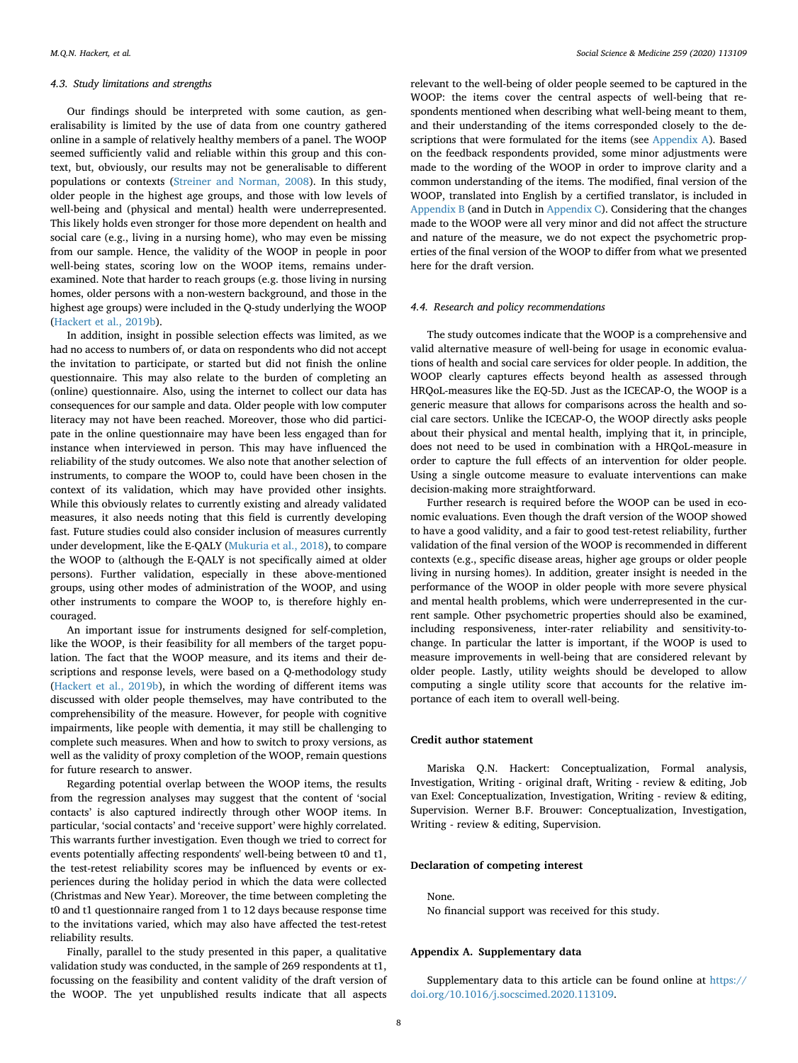#### *4.3. Study limitations and strengths*

Our findings should be interpreted with some caution, as generalisability is limited by the use of data from one country gathered online in a sample of relatively healthy members of a panel. The WOOP seemed sufficiently valid and reliable within this group and this context, but, obviously, our results may not be generalisable to different populations or contexts ([Streiner and Norman, 2008\)](#page-8-36). In this study, older people in the highest age groups, and those with low levels of well-being and (physical and mental) health were underrepresented. This likely holds even stronger for those more dependent on health and social care (e.g., living in a nursing home), who may even be missing from our sample. Hence, the validity of the WOOP in people in poor well-being states, scoring low on the WOOP items, remains underexamined. Note that harder to reach groups (e.g. those living in nursing homes, older persons with a non-western background, and those in the highest age groups) were included in the Q-study underlying the WOOP ([Hackert et al., 2019b](#page-8-6)).

In addition, insight in possible selection effects was limited, as we had no access to numbers of, or data on respondents who did not accept the invitation to participate, or started but did not finish the online questionnaire. This may also relate to the burden of completing an (online) questionnaire. Also, using the internet to collect our data has consequences for our sample and data. Older people with low computer literacy may not have been reached. Moreover, those who did participate in the online questionnaire may have been less engaged than for instance when interviewed in person. This may have influenced the reliability of the study outcomes. We also note that another selection of instruments, to compare the WOOP to, could have been chosen in the context of its validation, which may have provided other insights. While this obviously relates to currently existing and already validated measures, it also needs noting that this field is currently developing fast. Future studies could also consider inclusion of measures currently under development, like the E-QALY ([Mukuria et al., 2018](#page-8-40)), to compare the WOOP to (although the E-QALY is not specifically aimed at older persons). Further validation, especially in these above-mentioned groups, using other modes of administration of the WOOP, and using other instruments to compare the WOOP to, is therefore highly encouraged.

An important issue for instruments designed for self-completion, like the WOOP, is their feasibility for all members of the target population. The fact that the WOOP measure, and its items and their descriptions and response levels, were based on a Q-methodology study ([Hackert et al., 2019b](#page-8-6)), in which the wording of different items was discussed with older people themselves, may have contributed to the comprehensibility of the measure. However, for people with cognitive impairments, like people with dementia, it may still be challenging to complete such measures. When and how to switch to proxy versions, as well as the validity of proxy completion of the WOOP, remain questions for future research to answer.

Regarding potential overlap between the WOOP items, the results from the regression analyses may suggest that the content of 'social contacts' is also captured indirectly through other WOOP items. In particular, 'social contacts' and 'receive support' were highly correlated. This warrants further investigation. Even though we tried to correct for events potentially affecting respondents' well-being between t0 and t1, the test-retest reliability scores may be influenced by events or experiences during the holiday period in which the data were collected (Christmas and New Year). Moreover, the time between completing the t0 and t1 questionnaire ranged from 1 to 12 days because response time to the invitations varied, which may also have affected the test-retest reliability results.

Finally, parallel to the study presented in this paper, a qualitative validation study was conducted, in the sample of 269 respondents at t1, focussing on the feasibility and content validity of the draft version of the WOOP. The yet unpublished results indicate that all aspects

relevant to the well-being of older people seemed to be captured in the WOOP: the items cover the central aspects of well-being that respondents mentioned when describing what well-being meant to them, and their understanding of the items corresponded closely to the descriptions that were formulated for the items (see Appendix A). Based on the feedback respondents provided, some minor adjustments were made to the wording of the WOOP in order to improve clarity and a common understanding of the items. The modified, final version of the WOOP, translated into English by a certified translator, is included in [Appendix B](#page-7-0) (and in Dutch in [Appendix C\)](#page-7-0). Considering that the changes made to the WOOP were all very minor and did not affect the structure and nature of the measure, we do not expect the psychometric properties of the final version of the WOOP to differ from what we presented here for the draft version.

# *4.4. Research and policy recommendations*

The study outcomes indicate that the WOOP is a comprehensive and valid alternative measure of well-being for usage in economic evaluations of health and social care services for older people. In addition, the WOOP clearly captures effects beyond health as assessed through HRQoL-measures like the EQ-5D. Just as the ICECAP-O, the WOOP is a generic measure that allows for comparisons across the health and social care sectors. Unlike the ICECAP-O, the WOOP directly asks people about their physical and mental health, implying that it, in principle, does not need to be used in combination with a HRQoL-measure in order to capture the full effects of an intervention for older people. Using a single outcome measure to evaluate interventions can make decision-making more straightforward.

Further research is required before the WOOP can be used in economic evaluations. Even though the draft version of the WOOP showed to have a good validity, and a fair to good test-retest reliability, further validation of the final version of the WOOP is recommended in different contexts (e.g., specific disease areas, higher age groups or older people living in nursing homes). In addition, greater insight is needed in the performance of the WOOP in older people with more severe physical and mental health problems, which were underrepresented in the current sample. Other psychometric properties should also be examined, including responsiveness, inter-rater reliability and sensitivity-tochange. In particular the latter is important, if the WOOP is used to measure improvements in well-being that are considered relevant by older people. Lastly, utility weights should be developed to allow computing a single utility score that accounts for the relative importance of each item to overall well-being.

# **Credit author statement**

Mariska Q.N. Hackert: Conceptualization, Formal analysis, Investigation, Writing - original draft, Writing - review & editing, Job van Exel: Conceptualization, Investigation, Writing - review & editing, Supervision. Werner B.F. Brouwer: Conceptualization, Investigation, Writing - review & editing, Supervision.

# **Declaration of competing interest**

# None.

No financial support was received for this study.

#### <span id="page-7-0"></span>**Appendix A. Supplementary data**

Supplementary data to this article can be found online at [https://](https://doi.org/10.1016/j.socscimed.2020.113109) [doi.org/10.1016/j.socscimed.2020.113109](https://doi.org/10.1016/j.socscimed.2020.113109).